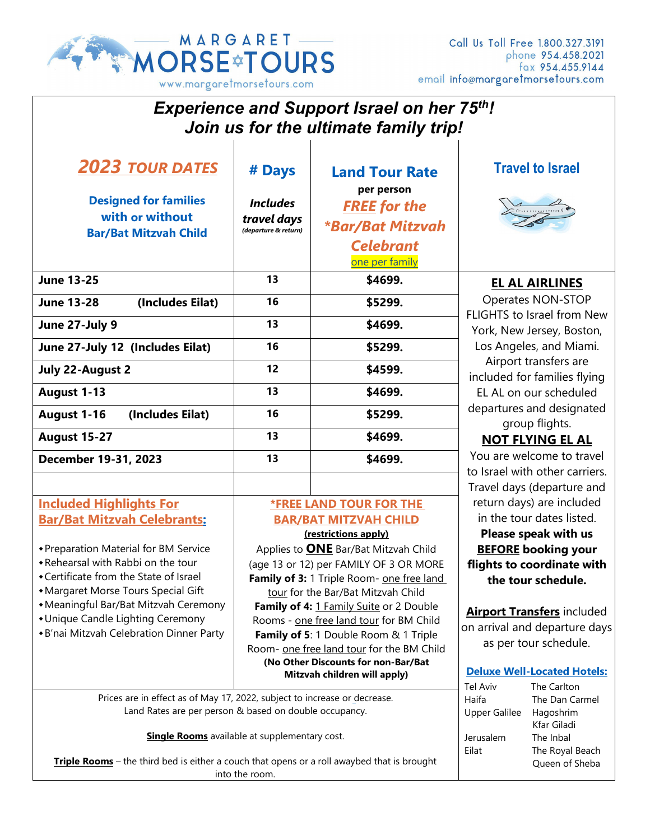

| <b>Experience and Support Israel on her 75th!</b><br>Join us for the ultimate family trip!                                          |                                                                              |                                                                                    |                                                                                                                                                                                                                     |                                             |  |
|-------------------------------------------------------------------------------------------------------------------------------------|------------------------------------------------------------------------------|------------------------------------------------------------------------------------|---------------------------------------------------------------------------------------------------------------------------------------------------------------------------------------------------------------------|---------------------------------------------|--|
| <b>2023 TOUR DATES</b>                                                                                                              | # Days                                                                       | <b>Land Tour Rate</b>                                                              |                                                                                                                                                                                                                     | <b>Travel to Israel</b>                     |  |
| <b>Designed for families</b><br>with or without                                                                                     | <b>Includes</b><br>travel days                                               | per person<br><b>FREE</b> for the                                                  |                                                                                                                                                                                                                     |                                             |  |
| <b>Bar/Bat Mitzvah Child</b>                                                                                                        | (departure & return)                                                         | <i><b>*Bar/Bat Mitzvah</b></i><br><b>Celebrant</b><br>one per family               |                                                                                                                                                                                                                     |                                             |  |
| <b>June 13-25</b>                                                                                                                   | 13                                                                           | \$4699.                                                                            | <b>EL AL AIRLINES</b><br>Operates NON-STOP<br>FLIGHTS to Israel from New<br>York, New Jersey, Boston,<br>Los Angeles, and Miami.<br>Airport transfers are<br>included for families flying<br>EL AL on our scheduled |                                             |  |
| (Includes Eilat)<br><b>June 13-28</b>                                                                                               | 16                                                                           | \$5299.                                                                            |                                                                                                                                                                                                                     |                                             |  |
| June 27-July 9                                                                                                                      | 13                                                                           | \$4699.                                                                            |                                                                                                                                                                                                                     |                                             |  |
| June 27-July 12 (Includes Eilat)                                                                                                    | 16                                                                           | \$5299.                                                                            |                                                                                                                                                                                                                     |                                             |  |
| <b>July 22-August 2</b>                                                                                                             | 12                                                                           | \$4599.                                                                            |                                                                                                                                                                                                                     |                                             |  |
| August 1-13                                                                                                                         | 13                                                                           | \$4699.                                                                            |                                                                                                                                                                                                                     |                                             |  |
| August 1-16<br>(Includes Eilat)                                                                                                     | 16                                                                           | \$5299.                                                                            | departures and designated<br>group flights.                                                                                                                                                                         |                                             |  |
| <b>August 15-27</b>                                                                                                                 | 13                                                                           | \$4699.                                                                            | <b>NOT FLYING EL AL</b>                                                                                                                                                                                             |                                             |  |
| December 19-31, 2023                                                                                                                | You are welcome to travel<br>13<br>\$4699.<br>to Israel with other carriers. |                                                                                    |                                                                                                                                                                                                                     |                                             |  |
|                                                                                                                                     |                                                                              |                                                                                    | Travel days (departure and                                                                                                                                                                                          |                                             |  |
| <b>Included Highlights For</b>                                                                                                      | <b><i>*FREE LAND TOUR FOR THE</i></b>                                        |                                                                                    | return days) are included                                                                                                                                                                                           |                                             |  |
| <b>Bar/Bat Mitzvah Celebrants:</b>                                                                                                  | <b>BAR/BAT MITZVAH CHILD</b>                                                 |                                                                                    | in the tour dates listed.                                                                                                                                                                                           |                                             |  |
| + Preparation Material for BM Service                                                                                               | (restrictions apply)<br>Applies to <b>ONE</b> Bar/Bat Mitzvah Child          |                                                                                    | Please speak with us<br><b>BEFORE booking your</b>                                                                                                                                                                  |                                             |  |
| • Rehearsal with Rabbi on the tour                                                                                                  | (age 13 or 12) per FAMILY OF 3 OR MORE                                       |                                                                                    | flights to coordinate with                                                                                                                                                                                          |                                             |  |
| • Certificate from the State of Israel                                                                                              | Family of 3: 1 Triple Room- one free land                                    |                                                                                    | the tour schedule.                                                                                                                                                                                                  |                                             |  |
| • Margaret Morse Tours Special Gift                                                                                                 | tour for the Bar/Bat Mitzvah Child                                           |                                                                                    |                                                                                                                                                                                                                     |                                             |  |
| • Meaningful Bar/Bat Mitzvah Ceremony                                                                                               | Family of 4: 1 Family Suite or 2 Double                                      |                                                                                    |                                                                                                                                                                                                                     | <b>Airport Transfers included</b>           |  |
| • Unique Candle Lighting Ceremony<br>*B'nai Mitzvah Celebration Dinner Party                                                        |                                                                              | Rooms - one free land tour for BM Child                                            |                                                                                                                                                                                                                     | on arrival and departure days               |  |
|                                                                                                                                     |                                                                              | Family of 5: 1 Double Room & 1 Triple<br>Room- one free land tour for the BM Child | as per tour schedule.                                                                                                                                                                                               |                                             |  |
|                                                                                                                                     |                                                                              | (No Other Discounts for non-Bar/Bat                                                |                                                                                                                                                                                                                     |                                             |  |
|                                                                                                                                     | Mitzvah children will apply)                                                 |                                                                                    |                                                                                                                                                                                                                     | <b>Deluxe Well-Located Hotels:</b>          |  |
| Prices are in effect as of May 17, 2022, subject to increase or decrease.<br>Land Rates are per person & based on double occupancy. |                                                                              |                                                                                    | Tel Aviv<br>Haifa<br><b>Upper Galilee</b>                                                                                                                                                                           | The Carlton<br>The Dan Carmel<br>Hagoshrim  |  |
| <b>Single Rooms</b> available at supplementary cost.                                                                                |                                                                              |                                                                                    | Jerusalem<br>Eilat                                                                                                                                                                                                  | Kfar Giladi<br>The Inbal<br>The Royal Beach |  |
| Triple Rooms - the third bed is either a couch that opens or a roll awaybed that is brought<br>into the room.                       |                                                                              |                                                                                    |                                                                                                                                                                                                                     | Queen of Sheba                              |  |